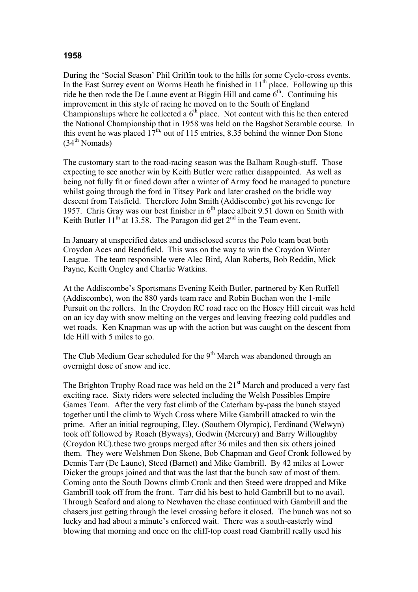## **1958**

During the 'Social Season' Phil Griffin took to the hills for some Cyclo-cross events. In the East Surrey event on Worms Heath he finished in  $11<sup>th</sup>$  place. Following up this ride he then rode the De Laune event at Biggin Hill and came  $6<sup>th</sup>$ . Continuing his improvement in this style of racing he moved on to the South of England Championships where he collected a  $6<sup>th</sup>$  place. Not content with this he then entered the National Championship that in 1958 was held on the Bagshot Scramble course. In this event he was placed  $17<sup>th</sup>$ , out of 115 entries, 8.35 behind the winner Don Stone  $(34<sup>th</sup> Nomads)$ 

The customary start to the road-racing season was the Balham Rough-stuff. Those expecting to see another win by Keith Butler were rather disappointed. As well as being not fully fit or fined down after a winter of Army food he managed to puncture whilst going through the ford in Titsey Park and later crashed on the bridle way descent from Tatsfield. Therefore John Smith (Addiscombe) got his revenge for 1957. Chris Gray was our best finisher in  $6<sup>th</sup>$  place albeit 9.51 down on Smith with Keith Butler  $11^{th}$  at 13.58. The Paragon did get  $2^{nd}$  in the Team event.

In January at unspecified dates and undisclosed scores the Polo team beat both Croydon Aces and Bendfield. This was on the way to win the Croydon Winter League. The team responsible were Alec Bird, Alan Roberts, Bob Reddin, Mick Payne, Keith Ongley and Charlie Watkins.

At the Addiscombe's Sportsmans Evening Keith Butler, partnered by Ken Ruffell (Addiscombe), won the 880 yards team race and Robin Buchan won the 1-mile Pursuit on the rollers. In the Croydon RC road race on the Hosey Hill circuit was held on an icy day with snow melting on the verges and leaving freezing cold puddles and wet roads. Ken Knapman was up with the action but was caught on the descent from Ide Hill with 5 miles to go.

The Club Medium Gear scheduled for the 9<sup>th</sup> March was abandoned through an overnight dose of snow and ice.

The Brighton Trophy Road race was held on the  $21<sup>st</sup>$  March and produced a very fast exciting race. Sixty riders were selected including the Welsh Possibles Empire Games Team. After the very fast climb of the Caterham by-pass the bunch stayed together until the climb to Wych Cross where Mike Gambrill attacked to win the prime. After an initial regrouping, Eley, (Southern Olympic), Ferdinand (Welwyn) took off followed by Roach (Byways), Godwin (Mercury) and Barry Willoughby (Croydon RC).these two groups merged after 36 miles and then six others joined them. They were Welshmen Don Skene, Bob Chapman and Geof Cronk followed by Dennis Tarr (De Laune), Steed (Barnet) and Mike Gambrill. By 42 miles at Lower Dicker the groups joined and that was the last that the bunch saw of most of them. Coming onto the South Downs climb Cronk and then Steed were dropped and Mike Gambrill took off from the front. Tarr did his best to hold Gambrill but to no avail. Through Seaford and along to Newhaven the chase continued with Gambrill and the chasers just getting through the level crossing before it closed. The bunch was not so lucky and had about a minute's enforced wait. There was a south-easterly wind blowing that morning and once on the cliff-top coast road Gambrill really used his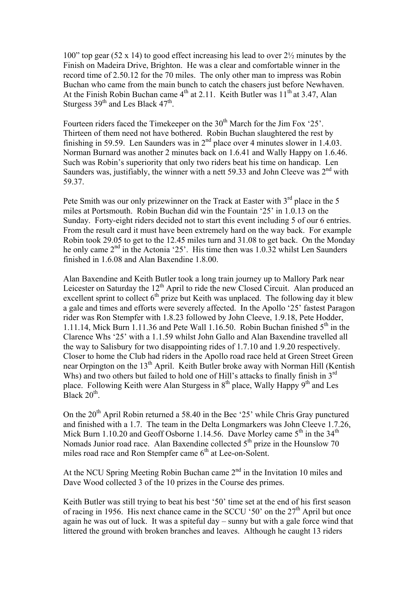100" top gear (52 x 14) to good effect increasing his lead to over  $2\frac{1}{2}$  minutes by the Finish on Madeira Drive, Brighton. He was a clear and comfortable winner in the record time of 2.50.12 for the 70 miles. The only other man to impress was Robin Buchan who came from the main bunch to catch the chasers just before Newhaven. At the Finish Robin Buchan came  $4<sup>th</sup>$  at 2.11. Keith Butler was  $11<sup>th</sup>$  at 3.47, Alan Sturgess  $39<sup>th</sup>$  and Les Black  $47<sup>th</sup>$ .

Fourteen riders faced the Timekeeper on the 30<sup>th</sup> March for the Jim Fox '25'. Thirteen of them need not have bothered. Robin Buchan slaughtered the rest by finishing in 59.59. Len Saunders was in  $2<sup>nd</sup>$  place over 4 minutes slower in 1.4.03. Norman Burnard was another 2 minutes back on 1.6.41 and Wally Happy on 1.6.46. Such was Robin's superiority that only two riders beat his time on handicap. Len Saunders was, justifiably, the winner with a nett 59.33 and John Cleeve was  $2<sup>nd</sup>$  with 59.37.

Pete Smith was our only prizewinner on the Track at Easter with  $3<sup>rd</sup>$  place in the 5 miles at Portsmouth. Robin Buchan did win the Fountain '25' in 1.0.13 on the Sunday. Forty-eight riders decided not to start this event including 5 of our 6 entries. From the result card it must have been extremely hard on the way back. For example Robin took 29.05 to get to the 12.45 miles turn and 31.08 to get back. On the Monday he only came 2<sup>nd</sup> in the Actonia '25'. His time then was 1.0.32 whilst Len Saunders finished in 1.6.08 and Alan Baxendine 1.8.00.

Alan Baxendine and Keith Butler took a long train journey up to Mallory Park near Leicester on Saturday the 12<sup>th</sup> April to ride the new Closed Circuit. Alan produced an excellent sprint to collect  $6<sup>th</sup>$  prize but Keith was unplaced. The following day it blew a gale and times and efforts were severely affected. In the Apollo '25' fastest Paragon rider was Ron Stempfer with 1.8.23 followed by John Cleeve, 1.9.18, Pete Hodder, 1.11.14, Mick Burn 1.11.36 and Pete Wall 1.16.50. Robin Buchan finished  $5<sup>th</sup>$  in the Clarence Whs '25' with a 1.1.59 whilst John Gallo and Alan Baxendine travelled all the way to Salisbury for two disappointing rides of 1.7.10 and 1.9.20 respectively. Closer to home the Club had riders in the Apollo road race held at Green Street Green near Orpington on the 13<sup>th</sup> April. Keith Butler broke away with Norman Hill (Kentish Whs) and two others but failed to hold one of Hill's attacks to finally finish in 3<sup>rd</sup> place. Following Keith were Alan Sturgess in  $8<sup>th</sup>$  place, Wally Happy  $9<sup>th</sup>$  and Les Black  $20<sup>th</sup>$ .

On the 20<sup>th</sup> April Robin returned a 58.40 in the Bec '25' while Chris Gray punctured and finished with a 1.7. The team in the Delta Longmarkers was John Cleeve 1.7.26, Mick Burn 1.10.20 and Geoff Osborne 1.14.56. Dave Morley came  $5<sup>th</sup>$  in the 34<sup>th</sup> Nomads Junior road race. Alan Baxendine collected  $5<sup>th</sup>$  prize in the Hounslow 70 miles road race and Ron Stempfer came  $6<sup>th</sup>$  at Lee-on-Solent.

At the NCU Spring Meeting Robin Buchan came  $2<sup>nd</sup>$  in the Invitation 10 miles and Dave Wood collected 3 of the 10 prizes in the Course des primes.

Keith Butler was still trying to beat his best '50' time set at the end of his first season of racing in 1956. His next chance came in the SCCU '50' on the 27<sup>th</sup> April but once again he was out of luck. It was a spiteful day – sunny but with a gale force wind that littered the ground with broken branches and leaves. Although he caught 13 riders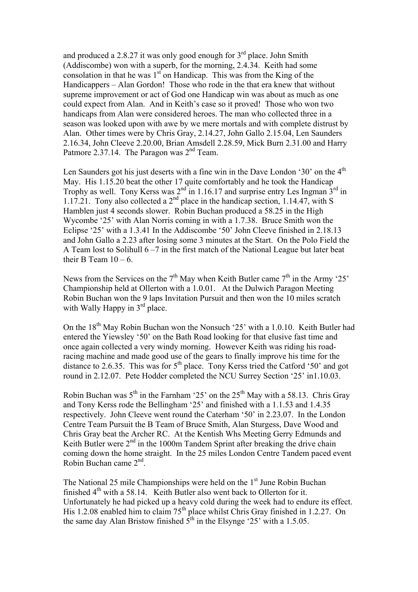and produced a 2.8.27 it was only good enough for  $3<sup>rd</sup>$  place. John Smith (Addiscombe) won with a superb, for the morning, 2.4.34. Keith had some consolation in that he was  $1<sup>st</sup>$  on Handicap. This was from the King of the Handicappers – Alan Gordon! Those who rode in the that era knew that without supreme improvement or act of God one Handicap win was about as much as one could expect from Alan. And in Keith's case so it proved! Those who won two handicaps from Alan were considered heroes. The man who collected three in a season was looked upon with awe by we mere mortals and with complete distrust by Alan. Other times were by Chris Gray, 2.14.27, John Gallo 2.15.04, Len Saunders 2.16.34, John Cleeve 2.20.00, Brian Amsdell 2.28.59, Mick Burn 2.31.00 and Harry Patmore 2.37.14. The Paragon was 2<sup>nd</sup> Team.

Len Saunders got his just deserts with a fine win in the Dave London '30' on the 4<sup>th</sup> May. His 1.15.20 beat the other 17 quite comfortably and he took the Handicap Trophy as well. Tony Kerss was  $2<sup>nd</sup>$  in 1.16.17 and surprise entry Les Ingman  $3<sup>rd</sup>$  in 1.17.21. Tony also collected a  $2<sup>nd</sup>$  place in the handicap section, 1.14.47, with S Hamblen just 4 seconds slower. Robin Buchan produced a 58.25 in the High Wycombe '25' with Alan Norris coming in with a 1.7.38. Bruce Smith won the Eclipse '25' with a 1.3.41 In the Addiscombe '50' John Cleeve finished in 2.18.13 and John Gallo a 2.23 after losing some 3 minutes at the Start. On the Polo Field the A Team lost to Solihull 6 –7 in the first match of the National League but later beat their B Team  $10 - 6$ .

News from the Services on the  $7<sup>th</sup>$  May when Keith Butler came  $7<sup>th</sup>$  in the Army '25' Championship held at Ollerton with a 1.0.01. At the Dulwich Paragon Meeting Robin Buchan won the 9 laps Invitation Pursuit and then won the 10 miles scratch with Wally Happy in 3<sup>rd</sup> place.

On the  $18<sup>th</sup>$  May Robin Buchan won the Nonsuch '25' with a 1.0.10. Keith Butler had entered the Yiewsley '50' on the Bath Road looking for that elusive fast time and once again collected a very windy morning. However Keith was riding his roadracing machine and made good use of the gears to finally improve his time for the distance to 2.6.35. This was for 5<sup>th</sup> place. Tony Kerss tried the Catford '50' and got round in 2.12.07. Pete Hodder completed the NCU Surrey Section '25' in1.10.03.

Robin Buchan was  $5<sup>th</sup>$  in the Farnham '25' on the 25<sup>th</sup> May with a 58.13. Chris Gray and Tony Kerss rode the Bellingham '25' and finished with a 1.1.53 and 1.4.35 respectively. John Cleeve went round the Caterham '50' in 2.23.07. In the London Centre Team Pursuit the B Team of Bruce Smith, Alan Sturgess, Dave Wood and Chris Gray beat the Archer RC. At the Kentish Whs Meeting Gerry Edmunds and Keith Butler were  $2<sup>nd</sup>$  in the 1000m Tandem Sprint after breaking the drive chain coming down the home straight. In the 25 miles London Centre Tandem paced event Robin Buchan came 2nd.

The National 25 mile Championships were held on the 1<sup>st</sup> June Robin Buchan finished  $4<sup>th</sup>$  with a 58.14. Keith Butler also went back to Ollerton for it. Unfortunately he had picked up a heavy cold during the week had to endure its effect. His 1.2.08 enabled him to claim 75th place whilst Chris Gray finished in 1.2.27. On the same day Alan Bristow finished  $5<sup>th</sup>$  in the Elsynge '25' with a 1.5.05.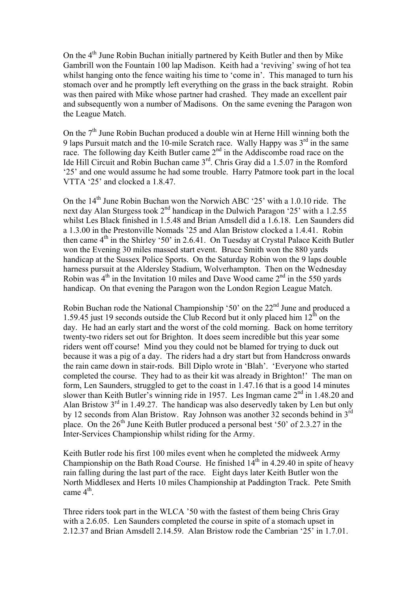On the  $4<sup>th</sup>$  June Robin Buchan initially partnered by Keith Butler and then by Mike Gambrill won the Fountain 100 lap Madison. Keith had a 'reviving' swing of hot tea whilst hanging onto the fence waiting his time to 'come in'. This managed to turn his stomach over and he promptly left everything on the grass in the back straight. Robin was then paired with Mike whose partner had crashed. They made an excellent pair and subsequently won a number of Madisons. On the same evening the Paragon won the League Match.

On the  $7<sup>th</sup>$  June Robin Buchan produced a double win at Herne Hill winning both the 9 laps Pursuit match and the 10-mile Scratch race. Wally Happy was  $3<sup>rd</sup>$  in the same race. The following day Keith Butler came  $2<sup>nd</sup>$  in the Addiscombe road race on the Ide Hill Circuit and Robin Buchan came 3<sup>rd</sup>. Chris Gray did a 1.5.07 in the Romford '25' and one would assume he had some trouble. Harry Patmore took part in the local VTTA '25' and clocked a 1.8.47.

On the  $14<sup>th</sup>$  June Robin Buchan won the Norwich ABC '25' with a 1.0.10 ride. The next day Alan Sturgess took  $2<sup>nd</sup>$  handicap in the Dulwich Paragon '25' with a 1.2.55 whilst Les Black finished in 1.5.48 and Brian Amsdell did a 1.6.18. Len Saunders did a 1.3.00 in the Prestonville Nomads '25 and Alan Bristow clocked a 1.4.41. Robin then came  $4<sup>th</sup>$  in the Shirley '50' in 2.6.41. On Tuesday at Crystal Palace Keith Butler won the Evening 30 miles massed start event. Bruce Smith won the 880 yards handicap at the Sussex Police Sports. On the Saturday Robin won the 9 laps double harness pursuit at the Aldersley Stadium, Wolverhampton. Then on the Wednesday Robin was  $4<sup>th</sup>$  in the Invitation 10 miles and Dave Wood came  $2<sup>nd</sup>$  in the 550 yards handicap. On that evening the Paragon won the London Region League Match.

Robin Buchan rode the National Championship '50' on the 22<sup>nd</sup> June and produced a 1.59.45 just 19 seconds outside the Club Record but it only placed him  $12<sup>th</sup>$  on the day. He had an early start and the worst of the cold morning. Back on home territory twenty-two riders set out for Brighton. It does seem incredible but this year some riders went off course! Mind you they could not be blamed for trying to duck out because it was a pig of a day. The riders had a dry start but from Handcross onwards the rain came down in stair-rods. Bill Diplo wrote in 'Blah'. 'Everyone who started completed the course. They had to as their kit was already in Brighton!' The man on form, Len Saunders, struggled to get to the coast in 1.47.16 that is a good 14 minutes slower than Keith Butler's winning ride in 1957. Les Ingman came  $2<sup>nd</sup>$  in 1.48.20 and Alan Bristow  $3<sup>rd</sup>$  in 1.49.27. The handicap was also deservedly taken by Len but only by 12 seconds from Alan Bristow. Ray Johnson was another 32 seconds behind in 3rd place. On the  $26<sup>th</sup>$  June Keith Butler produced a personal best '50' of 2.3.27 in the Inter-Services Championship whilst riding for the Army.

Keith Butler rode his first 100 miles event when he completed the midweek Army Championship on the Bath Road Course. He finished  $14<sup>th</sup>$  in 4.29.40 in spite of heavy rain falling during the last part of the race. Eight days later Keith Butler won the North Middlesex and Herts 10 miles Championship at Paddington Track. Pete Smith came  $4<sup>th</sup>$ .

Three riders took part in the WLCA '50 with the fastest of them being Chris Gray with a 2.6.05. Len Saunders completed the course in spite of a stomach upset in 2.12.37 and Brian Amsdell 2.14.59. Alan Bristow rode the Cambrian '25' in 1.7.01.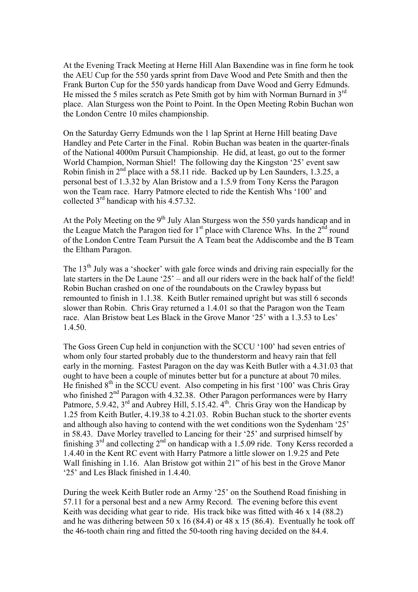At the Evening Track Meeting at Herne Hill Alan Baxendine was in fine form he took the AEU Cup for the 550 yards sprint from Dave Wood and Pete Smith and then the Frank Burton Cup for the 550 yards handicap from Dave Wood and Gerry Edmunds. He missed the 5 miles scratch as Pete Smith got by him with Norman Burnard in  $3<sup>rd</sup>$ place. Alan Sturgess won the Point to Point. In the Open Meeting Robin Buchan won the London Centre 10 miles championship.

On the Saturday Gerry Edmunds won the 1 lap Sprint at Herne Hill beating Dave Handley and Pete Carter in the Final. Robin Buchan was beaten in the quarter-finals of the National 4000m Pursuit Championship. He did, at least, go out to the former World Champion, Norman Shiel! The following day the Kingston '25' event saw Robin finish in  $2<sup>nd</sup>$  place with a 58.11 ride. Backed up by Len Saunders, 1.3.25, a personal best of 1.3.32 by Alan Bristow and a 1.5.9 from Tony Kerss the Paragon won the Team race. Harry Patmore elected to ride the Kentish Whs '100' and collected  $3<sup>rd</sup>$  handicap with his 4.57.32.

At the Poly Meeting on the 9<sup>th</sup> July Alan Sturgess won the 550 yards handicap and in the League Match the Paragon tied for  $1<sup>st</sup>$  place with Clarence Whs. In the  $2<sup>nd</sup>$  round of the London Centre Team Pursuit the A Team beat the Addiscombe and the B Team the Eltham Paragon.

The 13<sup>th</sup> July was a 'shocker' with gale force winds and driving rain especially for the late starters in the De Laune '25' – and all our riders were in the back half of the field! Robin Buchan crashed on one of the roundabouts on the Crawley bypass but remounted to finish in 1.1.38. Keith Butler remained upright but was still 6 seconds slower than Robin. Chris Gray returned a 1.4.01 so that the Paragon won the Team race. Alan Bristow beat Les Black in the Grove Manor '25' with a 1.3.53 to Les' 1.4.50.

The Goss Green Cup held in conjunction with the SCCU '100' had seven entries of whom only four started probably due to the thunderstorm and heavy rain that fell early in the morning. Fastest Paragon on the day was Keith Butler with a 4.31.03 that ought to have been a couple of minutes better but for a puncture at about 70 miles. He finished  $8<sup>th</sup>$  in the SCCU event. Also competing in his first '100' was Chris Gray who finished 2<sup>nd</sup> Paragon with 4.32.38. Other Paragon performances were by Harry Patmore, 5.9.42,  $3^{\text{rd}}$  and Aubrey Hill, 5.15.42,  $4^{\text{th}}$ . Chris Gray won the Handicap by 1.25 from Keith Butler, 4.19.38 to 4.21.03. Robin Buchan stuck to the shorter events and although also having to contend with the wet conditions won the Sydenham '25' in 58.43. Dave Morley travelled to Lancing for their '25' and surprised himself by finishing  $3<sup>rd</sup>$  and collecting  $2<sup>nd</sup>$  on handicap with a 1.5.09 ride. Tony Kerss recorded a 1.4.40 in the Kent RC event with Harry Patmore a little slower on 1.9.25 and Pete Wall finishing in 1.16. Alan Bristow got within 21" of his best in the Grove Manor '25' and Les Black finished in 1.4.40.

During the week Keith Butler rode an Army '25' on the Southend Road finishing in 57.11 for a personal best and a new Army Record. The evening before this event Keith was deciding what gear to ride. His track bike was fitted with 46 x 14 (88.2) and he was dithering between 50 x 16 (84.4) or 48 x 15 (86.4). Eventually he took off the 46-tooth chain ring and fitted the 50-tooth ring having decided on the 84.4.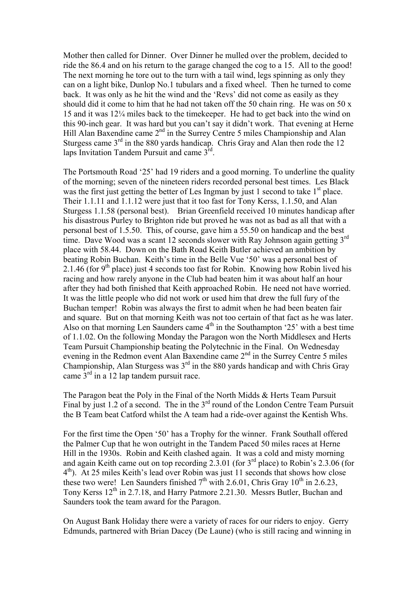Mother then called for Dinner. Over Dinner he mulled over the problem, decided to ride the 86.4 and on his return to the garage changed the cog to a 15. All to the good! The next morning he tore out to the turn with a tail wind, legs spinning as only they can on a light bike, Dunlop No.1 tubulars and a fixed wheel. Then he turned to come back. It was only as he hit the wind and the 'Revs' did not come as easily as they should did it come to him that he had not taken off the 50 chain ring. He was on 50 x 15 and it was 12¼ miles back to the timekeeper. He had to get back into the wind on this 90-inch gear. It was hard but you can't say it didn't work. That evening at Herne Hill Alan Baxendine came  $2<sup>nd</sup>$  in the Surrey Centre 5 miles Championship and Alan Sturgess came  $3<sup>rd</sup>$  in the 880 vards handicap. Chris Gray and Alan then rode the 12 laps Invitation Tandem Pursuit and came 3rd.

The Portsmouth Road '25' had 19 riders and a good morning. To underline the quality of the morning; seven of the nineteen riders recorded personal best times. Les Black was the first just getting the better of Les Ingman by just 1 second to take  $1<sup>st</sup>$  place. Their 1.1.11 and 1.1.12 were just that it too fast for Tony Kerss, 1.1.50, and Alan Sturgess 1.1.58 (personal best). Brian Greenfield received 10 minutes handicap after his disastrous Purley to Brighton ride but proved he was not as bad as all that with a personal best of 1.5.50. This, of course, gave him a 55.50 on handicap and the best time. Dave Wood was a scant 12 seconds slower with Ray Johnson again getting 3<sup>rd</sup> place with 58.44. Down on the Bath Road Keith Butler achieved an ambition by beating Robin Buchan. Keith's time in the Belle Vue '50' was a personal best of 2.1.46 (for 9<sup>th</sup> place) just 4 seconds too fast for Robin. Knowing how Robin lived his racing and how rarely anyone in the Club had beaten him it was about half an hour after they had both finished that Keith approached Robin. He need not have worried. It was the little people who did not work or used him that drew the full fury of the Buchan temper! Robin was always the first to admit when he had been beaten fair and square. But on that morning Keith was not too certain of that fact as he was later. Also on that morning Len Saunders came  $4<sup>th</sup>$  in the Southampton '25' with a best time of 1.1.02. On the following Monday the Paragon won the North Middlesex and Herts Team Pursuit Championship beating the Polytechnic in the Final. On Wednesday evening in the Redmon event Alan Baxendine came  $2<sup>nd</sup>$  in the Surrey Centre 5 miles Championship, Alan Sturgess was  $3<sup>rd</sup>$  in the 880 yards handicap and with Chris Gray came  $3^{\text{rd}}$  in a 12 lap tandem pursuit race.

The Paragon beat the Poly in the Final of the North Midds & Herts Team Pursuit Final by just 1.2 of a second. The in the  $3<sup>rd</sup>$  round of the London Centre Team Pursuit the B Team beat Catford whilst the A team had a ride-over against the Kentish Whs.

For the first time the Open '50' has a Trophy for the winner. Frank Southall offered the Palmer Cup that he won outright in the Tandem Paced 50 miles races at Herne Hill in the 1930s. Robin and Keith clashed again. It was a cold and misty morning and again Keith came out on top recording 2.3.01 (for 3<sup>rd</sup> place) to Robin's 2.3.06 (for 4th). At 25 miles Keith's lead over Robin was just 11 seconds that shows how close these two were! Len Saunders finished  $7<sup>th</sup>$  with 2.6.01, Chris Gray 10<sup>th</sup> in 2.6.23, Tony Kerss 12<sup>th</sup> in 2.7.18, and Harry Patmore 2.21.30. Messrs Butler, Buchan and Saunders took the team award for the Paragon.

On August Bank Holiday there were a variety of races for our riders to enjoy. Gerry Edmunds, partnered with Brian Dacey (De Laune) (who is still racing and winning in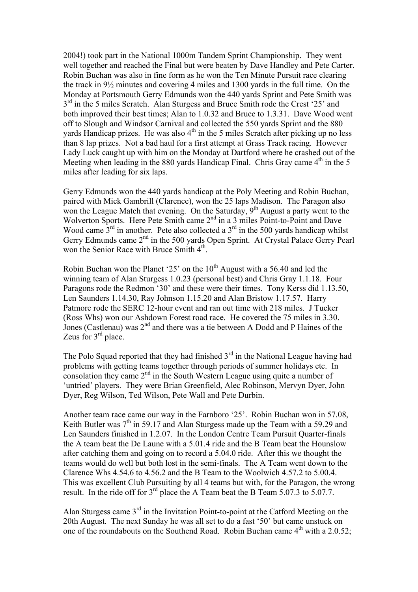2004!) took part in the National 1000m Tandem Sprint Championship. They went well together and reached the Final but were beaten by Dave Handley and Pete Carter. Robin Buchan was also in fine form as he won the Ten Minute Pursuit race clearing the track in 9½ minutes and covering 4 miles and 1300 yards in the full time. On the Monday at Portsmouth Gerry Edmunds won the 440 yards Sprint and Pete Smith was  $3<sup>rd</sup>$  in the 5 miles Scratch. Alan Sturgess and Bruce Smith rode the Crest '25' and both improved their best times; Alan to 1.0.32 and Bruce to 1.3.31. Dave Wood went off to Slough and Windsor Carnival and collected the 550 yards Sprint and the 880 yards Handicap prizes. He was also  $4<sup>th</sup>$  in the 5 miles Scratch after picking up no less than 8 lap prizes. Not a bad haul for a first attempt at Grass Track racing. However Lady Luck caught up with him on the Monday at Dartford where he crashed out of the Meeting when leading in the 880 yards Handicap Final. Chris Gray came  $4<sup>th</sup>$  in the 5 miles after leading for six laps.

Gerry Edmunds won the 440 yards handicap at the Poly Meeting and Robin Buchan, paired with Mick Gambrill (Clarence), won the 25 laps Madison. The Paragon also won the League Match that evening. On the Saturday,  $9<sup>th</sup>$  August a party went to the Wolverton Sports. Here Pete Smith came 2<sup>nd</sup> in a 3 miles Point-to-Point and Dave Wood came  $3<sup>rd</sup>$  in another. Pete also collected a  $3<sup>rd</sup>$  in the 500 yards handicap whilst Gerry Edmunds came 2<sup>nd</sup> in the 500 yards Open Sprint. At Crystal Palace Gerry Pearl won the Senior Race with Bruce Smith  $4<sup>th</sup>$ .

Robin Buchan won the Planet '25' on the  $10<sup>th</sup>$  August with a 56.40 and led the winning team of Alan Sturgess 1.0.23 (personal best) and Chris Gray 1.1.18. Four Paragons rode the Redmon '30' and these were their times. Tony Kerss did 1.13.50, Len Saunders 1.14.30, Ray Johnson 1.15.20 and Alan Bristow 1.17.57. Harry Patmore rode the SERC 12-hour event and ran out time with 218 miles. J Tucker (Ross Whs) won our Ashdown Forest road race. He covered the 75 miles in 3.30. Jones (Castlenau) was  $2<sup>nd</sup>$  and there was a tie between A Dodd and P Haines of the Zeus for 3<sup>rd</sup> place.

The Polo Squad reported that they had finished  $3<sup>rd</sup>$  in the National League having had problems with getting teams together through periods of summer holidays etc. In consolation they came  $2<sup>nd</sup>$  in the South Western League using quite a number of 'untried' players. They were Brian Greenfield, Alec Robinson, Mervyn Dyer, John Dyer, Reg Wilson, Ted Wilson, Pete Wall and Pete Durbin.

Another team race came our way in the Farnboro '25'. Robin Buchan won in 57.08, Keith Butler was  $7<sup>th</sup>$  in 59.17 and Alan Sturgess made up the Team with a 59.29 and Len Saunders finished in 1.2.07. In the London Centre Team Pursuit Quarter-finals the A team beat the De Laune with a 5.01.4 ride and the B Team beat the Hounslow after catching them and going on to record a 5.04.0 ride. After this we thought the teams would do well but both lost in the semi-finals. The A Team went down to the Clarence Whs 4.54.6 to 4.56.2 and the B Team to the Woolwich 4.57.2 to 5.00.4. This was excellent Club Pursuiting by all 4 teams but with, for the Paragon, the wrong result. In the ride off for  $3<sup>rd</sup>$  place the A Team beat the B Team 5.07.3 to 5.07.7.

Alan Sturgess came 3rd in the Invitation Point-to-point at the Catford Meeting on the 20th August. The next Sunday he was all set to do a fast '50' but came unstuck on one of the roundabouts on the Southend Road. Robin Buchan came  $4<sup>th</sup>$  with a 2.0.52;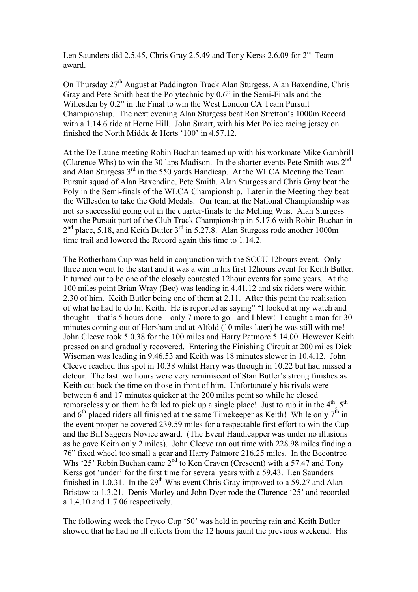Len Saunders did 2.5.45, Chris Gray 2.5.49 and Tony Kerss 2.6.09 for  $2<sup>nd</sup>$  Team award.

On Thursday  $27<sup>th</sup>$  August at Paddington Track Alan Sturgess, Alan Baxendine, Chris Gray and Pete Smith beat the Polytechnic by 0.6" in the Semi-Finals and the Willesden by 0.2" in the Final to win the West London CA Team Pursuit Championship. The next evening Alan Sturgess beat Ron Stretton's 1000m Record with a 1.14.6 ride at Herne Hill. John Smart, with his Met Police racing jersey on finished the North Middx & Herts '100' in 4.57.12.

At the De Laune meeting Robin Buchan teamed up with his workmate Mike Gambrill (Clarence Whs) to win the 30 laps Madison. In the shorter events Pete Smith was  $2<sup>nd</sup>$ and Alan Sturgess  $3<sup>rd</sup>$  in the 550 yards Handicap. At the WLCA Meeting the Team Pursuit squad of Alan Baxendine, Pete Smith, Alan Sturgess and Chris Gray beat the Poly in the Semi-finals of the WLCA Championship. Later in the Meeting they beat the Willesden to take the Gold Medals. Our team at the National Championship was not so successful going out in the quarter-finals to the Melling Whs. Alan Sturgess won the Pursuit part of the Club Track Championship in 5.17.6 with Robin Buchan in  $2<sup>nd</sup>$  place, 5.18, and Keith Butler  $3<sup>rd</sup>$  in 5.27.8. Alan Sturgess rode another 1000m time trail and lowered the Record again this time to 1.14.2.

The Rotherham Cup was held in conjunction with the SCCU 12hours event. Only three men went to the start and it was a win in his first 12hours event for Keith Butler. It turned out to be one of the closely contested 12hour events for some years. At the 100 miles point Brian Wray (Bec) was leading in 4.41.12 and six riders were within 2.30 of him. Keith Butler being one of them at 2.11. After this point the realisation of what he had to do hit Keith. He is reported as saying" "I looked at my watch and thought – that's 5 hours done – only 7 more to go - and I blew! I caught a man for 30 minutes coming out of Horsham and at Alfold (10 miles later) he was still with me! John Cleeve took 5.0.38 for the 100 miles and Harry Patmore 5.14.00. However Keith pressed on and gradually recovered. Entering the Finishing Circuit at 200 miles Dick Wiseman was leading in 9.46.53 and Keith was 18 minutes slower in 10.4.12. John Cleeve reached this spot in 10.38 whilst Harry was through in 10.22 but had missed a detour. The last two hours were very reminiscent of Stan Butler's strong finishes as Keith cut back the time on those in front of him. Unfortunately his rivals were between 6 and 17 minutes quicker at the 200 miles point so while he closed remorselessly on them he failed to pick up a single place! Just to rub it in the  $4<sup>th</sup>$ ,  $5<sup>th</sup>$ and  $6<sup>th</sup>$  placed riders all finished at the same Timekeeper as Keith! While only  $7<sup>th</sup>$  in the event proper he covered 239.59 miles for a respectable first effort to win the Cup and the Bill Saggers Novice award. (The Event Handicapper was under no illusions as he gave Keith only 2 miles). John Cleeve ran out time with 228.98 miles finding a 76" fixed wheel too small a gear and Harry Patmore 216.25 miles. In the Becontree Whs '25' Robin Buchan came  $2<sup>nd</sup>$  to Ken Craven (Crescent) with a 57.47 and Tony Kerss got 'under' for the first time for several years with a 59.43. Len Saunders finished in 1.0.31. In the  $29<sup>th</sup>$  Whs event Chris Gray improved to a 59.27 and Alan Bristow to 1.3.21. Denis Morley and John Dyer rode the Clarence '25' and recorded a 1.4.10 and 1.7.06 respectively.

The following week the Fryco Cup '50' was held in pouring rain and Keith Butler showed that he had no ill effects from the 12 hours jaunt the previous weekend. His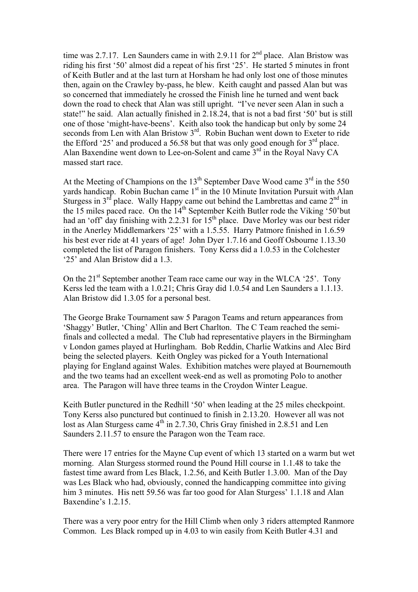time was 2.7.17. Len Saunders came in with 2.9.11 for  $2<sup>nd</sup>$  place. Alan Bristow was riding his first '50' almost did a repeat of his first '25'. He started 5 minutes in front of Keith Butler and at the last turn at Horsham he had only lost one of those minutes then, again on the Crawley by-pass, he blew. Keith caught and passed Alan but was so concerned that immediately he crossed the Finish line he turned and went back down the road to check that Alan was still upright. "I've never seen Alan in such a state!" he said. Alan actually finished in 2.18.24, that is not a bad first '50' but is still one of those 'might-have-beens'. Keith also took the handicap but only by some 24 seconds from Len with Alan Bristow 3<sup>rd</sup>. Robin Buchan went down to Exeter to ride the Efford '25' and produced a 56.58 but that was only good enough for  $3<sup>rd</sup>$  place. Alan Baxendine went down to Lee-on-Solent and came 3<sup>rd</sup> in the Royal Navy CA massed start race.

At the Meeting of Champions on the  $13<sup>th</sup>$  September Dave Wood came  $3<sup>rd</sup>$  in the 550 yards handicap. Robin Buchan came  $1<sup>st</sup>$  in the 10 Minute Invitation Pursuit with Alan Sturgess in  $3<sup>rd</sup>$  place. Wally Happy came out behind the Lambrettas and came  $2<sup>nd</sup>$  in the 15 miles paced race. On the  $14<sup>th</sup>$  September Keith Butler rode the Viking '50'but had an 'off' day finishing with 2.2.31 for 15<sup>th</sup> place. Dave Morley was our best rider in the Anerley Middlemarkers '25' with a 1.5.55. Harry Patmore finished in 1.6.59 his best ever ride at 41 years of age! John Dyer 1.7.16 and Geoff Osbourne 1.13.30 completed the list of Paragon finishers. Tony Kerss did a 1.0.53 in the Colchester '25' and Alan Bristow did a 1.3.

On the  $21<sup>st</sup>$  September another Team race came our way in the WLCA '25'. Tony Kerss led the team with a 1.0.21; Chris Gray did 1.0.54 and Len Saunders a 1.1.13. Alan Bristow did 1.3.05 for a personal best.

The George Brake Tournament saw 5 Paragon Teams and return appearances from 'Shaggy' Butler, 'Ching' Allin and Bert Charlton. The C Team reached the semifinals and collected a medal. The Club had representative players in the Birmingham v London games played at Hurlingham. Bob Reddin, Charlie Watkins and Alec Bird being the selected players. Keith Ongley was picked for a Youth International playing for England against Wales. Exhibition matches were played at Bournemouth and the two teams had an excellent week-end as well as promoting Polo to another area. The Paragon will have three teams in the Croydon Winter League.

Keith Butler punctured in the Redhill '50' when leading at the 25 miles checkpoint. Tony Kerss also punctured but continued to finish in 2.13.20. However all was not lost as Alan Sturgess came  $4<sup>th</sup>$  in 2.7.30, Chris Gray finished in 2.8.51 and Len Saunders 2.11.57 to ensure the Paragon won the Team race.

There were 17 entries for the Mayne Cup event of which 13 started on a warm but wet morning. Alan Sturgess stormed round the Pound Hill course in 1.1.48 to take the fastest time award from Les Black, 1.2.56, and Keith Butler 1.3.00. Man of the Day was Les Black who had, obviously, conned the handicapping committee into giving him 3 minutes. His nett 59.56 was far too good for Alan Sturgess' 1.1.18 and Alan Baxendine's 1.2.15

There was a very poor entry for the Hill Climb when only 3 riders attempted Ranmore Common. Les Black romped up in 4.03 to win easily from Keith Butler 4.31 and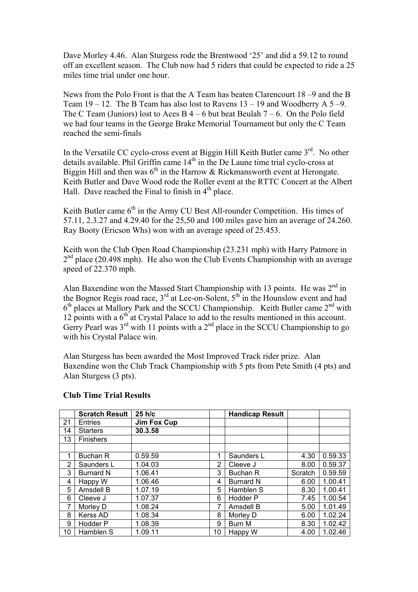Dave Morley 4.46. Alan Sturgess rode the Brentwood '25' and did a 59.12 to round off an excellent season. The Club now had 5 riders that could be expected to ride a 25 miles time trial under one hour.

News from the Polo Front is that the A Team has beaten Clarencourt 18 –9 and the B Team  $19 - 12$ . The B Team has also lost to Ravens  $13 - 19$  and Woodberry A  $5 - 9$ . The C Team (Juniors) lost to Aces B  $4 - 6$  but beat Beulah  $7 - 6$ . On the Polo field we had four teams in the George Brake Memorial Tournament but only the C Team reached the semi-finals

In the Versatile CC cyclo-cross event at Biggin Hill Keith Butler came 3<sup>rd</sup>. No other details available. Phil Griffin came  $14<sup>th</sup>$  in the De Laune time trial cyclo-cross at Biggin Hill and then was  $6<sup>th</sup>$  in the Harrow & Rickmansworth event at Herongate. Keith Butler and Dave Wood rode the Roller event at the RTTC Concert at the Albert Hall. Dave reached the Final to finish in  $4<sup>th</sup>$  place.

Keith Butler came  $6<sup>th</sup>$  in the Army CU Best All-rounder Competition. His times of 57.11, 2.3.27 and 4.29.40 for the 25,50 and 100 miles gave him an average of 24.260. Ray Booty (Ericson Whs) won with an average speed of 25.453.

Keith won the Club Open Road Championship (23.231 mph) with Harry Patmore in  $2<sup>nd</sup>$  place (20.498 mph). He also won the Club Events Championship with an average speed of 22.370 mph.

Alan Baxendine won the Massed Start Championship with 13 points. He was  $2<sup>nd</sup>$  in the Bognor Regis road race,  $3<sup>rd</sup>$  at Lee-on-Solent,  $5<sup>th</sup>$  in the Hounslow event and had  $6<sup>th</sup>$  places at Mallory Park and the SCCU Championship. Keith Butler came  $2<sup>nd</sup>$  with 12 points with a  $6<sup>th</sup>$  at Crystal Palace to add to the results mentioned in this account. Gerry Pearl was  $3<sup>rd</sup>$  with 11 points with a  $2<sup>nd</sup>$  place in the SCCU Championship to go with his Crystal Palace win.

Alan Sturgess has been awarded the Most Improved Track rider prize. Alan Baxendine won the Club Track Championship with 5 pts from Pete Smith (4 pts) and Alan Sturgess (3 pts).

|    | <b>Scratch Result</b> | $25$ h/c           |                | <b>Handicap Result</b> |         |         |
|----|-----------------------|--------------------|----------------|------------------------|---------|---------|
| 21 | <b>Entries</b>        | <b>Jim Fox Cup</b> |                |                        |         |         |
| 14 | <b>Starters</b>       | 30.3.58            |                |                        |         |         |
| 13 | Finishers             |                    |                |                        |         |         |
|    |                       |                    |                |                        |         |         |
| 1  | Buchan R              | 0.59.59            | 1              | Saunders L             | 4.30    | 0.59.33 |
| 2  | Saunders L            | 1.04.03            | $\overline{2}$ | Cleeve J               | 8.00    | 0.59.37 |
| 3  | <b>Burnard N</b>      | 1.06.41            | 3              | Buchan R               | Scratch | 0.59.59 |
| 4  | Happy W               | 1.06.46            | 4              | <b>Burnard N</b>       | 6.00    | 1.00.41 |
| 5  | Amsdell B             | 1.07.19            | 5              | Hamblen S              | 8.30    | 1.00.41 |
| 6  | Cleeve J              | 1.07.37            | 6              | Hodder P               | 7.45    | 1.00.54 |
| 7  | Morley D              | 1.08.24            | 7              | Amsdell B              | 5.00    | 1.01.49 |
| 8  | Kerss AD              | 1.08.34            | 8              | Morley D               | 6.00    | 1.02.24 |
| 9  | Hodder P              | 1.08.39            | 9              | Burn M                 | 8.30    | 1.02.42 |
| 10 | Hamblen S             | 1.09.11            | 10             | Happy W                | 4.00    | 1.02.46 |

## **Club Time Trial Results**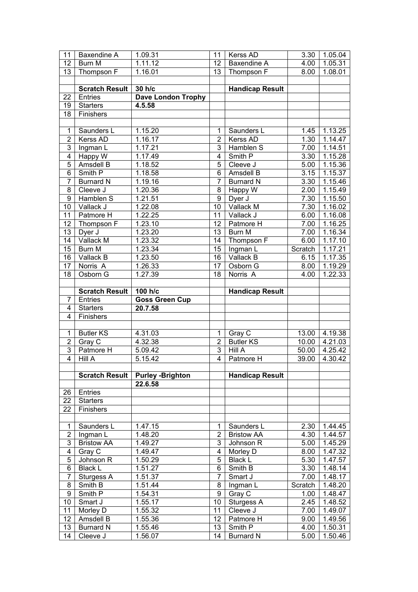| 11              | Baxendine A                  | 1.09.31                   | 11                      | Kerss AD                    | 3.30         | 1.05.04              |
|-----------------|------------------------------|---------------------------|-------------------------|-----------------------------|--------------|----------------------|
| 12              | Burn M                       | 1.11.12                   | 12                      | Baxendine A                 | 4.00         | 1.05.31              |
| 13              | Thompson F                   | 1.16.01                   | 13                      | Thompson F                  | 8.00         | 1.08.01              |
|                 |                              |                           |                         |                             |              |                      |
|                 | <b>Scratch Result</b>        | 30 h/c                    |                         | <b>Handicap Result</b>      |              |                      |
| 22              | Entries                      | <b>Dave London Trophy</b> |                         |                             |              |                      |
| 19              | <b>Starters</b>              | 4.5.58                    |                         |                             |              |                      |
| 18              | Finishers                    |                           |                         |                             |              |                      |
|                 |                              |                           |                         |                             |              |                      |
| $\mathbf 1$     | Saunders L                   | 1.15.20                   | 1                       | Saunders L                  | 1.45         | 1.13.25              |
| $\overline{2}$  | <b>Kerss AD</b>              | 1.16.17                   | $\overline{2}$          | Kerss AD                    | 1.30         | 1.14.47              |
| $\overline{3}$  | Ingman L                     | 1.17.21                   | 3                       | Hamblen S                   | 7.00         | $1.\overline{14.51}$ |
| $\overline{4}$  | Happy W                      | 1.17.49                   | $\overline{\mathbf{4}}$ | Smith P                     | 3.30         | 1.15.28              |
| 5               | Amsdell B                    | 1.18.52                   | 5                       | Cleeve J                    | 5.00         | 1.15.36              |
| 6               | Smith P                      | 1.18.58                   | 6                       | Amsdell B                   | 3.15         | $1.\overline{15.37}$ |
| $\overline{7}$  | <b>Burnard N</b>             | 1.19.16                   | $\overline{7}$          | <b>Burnard N</b>            | 3.30         | 1.15.46              |
| 8               | Cleeve J                     | 1.20.36                   | 8                       | Happy W                     | 2.00         | 1.15.49              |
| 9               | Hamblen S                    | $1.21.\overline{51}$      | $\boldsymbol{9}$        | Dyer J                      | 7.30         | $1.\overline{15.50}$ |
| 10              | Vallack J                    | 1.22.08                   | 10                      | <b>Vallack M</b>            | 7.30         | 1.16.02              |
| 11              | Patmore H                    | 1.22.25                   | 11                      | Vallack J                   | 6.00         | 1.16.08              |
| 12              | Thompson F                   | 1.23.10                   | 12                      | Patmore H                   | 7.00         | $1.\overline{16.25}$ |
| 13              | Dyer J                       | 1.23.20                   | 13                      | Burn M                      | 7.00         | 1.16.34              |
| 14              | Vallack M                    | 1.23.32                   | 14                      | Thompson F                  | 6.00         | 1.17.10              |
| 15              | Burn M                       | 1.23.34                   | $\overline{15}$         | Ingman L                    | Scratch      | 1.17.21              |
| 16              | Vallack B                    | 1.23.50                   | 16                      | Vallack B                   | 6.15         | 1.17.35              |
| 17              | Norris A                     | 1.26.33                   | 17                      | Osborn G                    | 8.00         | 1.19.29              |
| 18              | Osborn G                     | 1.27.39                   | 18                      | Norris <sub>A</sub>         | 4.00         | 1.22.33              |
|                 |                              |                           |                         |                             |              |                      |
|                 | <b>Scratch Result</b>        | 100 $h/\overline{c}$      |                         | <b>Handicap Result</b>      |              |                      |
|                 |                              |                           |                         |                             |              |                      |
| 7               | Entries                      | <b>Goss Green Cup</b>     |                         |                             |              |                      |
| 4               | <b>Starters</b>              | 20.7.58                   |                         |                             |              |                      |
| 4               | Finishers                    |                           |                         |                             |              |                      |
|                 |                              |                           |                         |                             |              |                      |
| $\mathbf{1}$    | <b>Butler KS</b>             | 4.31.03                   | 1                       | Gray C                      | 13.00        | 4.19.38              |
| $\overline{2}$  | Gray C                       | 4.32.38                   | $\overline{2}$          | <b>Butler KS</b>            | 10.00        | 4.21.03              |
| 3               | Patmore H                    | 5.09.42                   | 3                       | <b>Hill A</b>               | 50.00        | 4.25.42              |
| $\overline{4}$  | <b>Hill A</b>                | 5.15.42                   | $\overline{4}$          | Patmore H                   | 39.00        | 4.30.42              |
|                 |                              |                           |                         |                             |              |                      |
|                 | Scratch Result               | <b>Purley -Brighton</b>   |                         | <b>Handicap Result</b>      |              |                      |
|                 |                              | 22.6.58                   |                         |                             |              |                      |
|                 | $26$   Entries               |                           |                         |                             |              |                      |
| 22              | <b>Starters</b>              |                           |                         |                             |              |                      |
| 22              | Finishers                    |                           |                         |                             |              |                      |
|                 |                              |                           |                         |                             |              |                      |
| 1               | Saunders L                   | 1.47.15                   | 1                       | Saunders L                  | 2.30         | 1.44.45              |
| $\overline{2}$  | Ingman L                     | 1.48.20                   | $\overline{2}$          | <b>Bristow AA</b>           | 4.30         | 1.44.57              |
| 3               | <b>Bristow AA</b>            | 1.49.27                   | 3                       | Johnson R                   | 5.00         | 1.45.29              |
| 4               | Gray C                       | 1.49.47                   | 4                       | Morley D                    | 8.00         | 1.47.32              |
| 5               | Johnson R                    | 1.50.29                   | 5                       | <b>Black L</b>              | 5.30         | 1.47.57              |
| 6               | <b>Black L</b>               | 1.51.27                   | 6                       | Smith B                     | 3.30         | 1.48.14              |
| 7               | Sturgess A                   | 1.51.37                   | 7                       | Smart J                     | 7.00         | 1.48.17              |
| 8               | Smith B                      | 1.51.44                   | 8                       | Ingman L                    | Scratch      | 1.48.20              |
| 9               | Smith P                      | 1.54.31                   | 9                       | Gray C                      | 1.00         | 1.48.47              |
| 10              | Smart J                      | 1.55.17                   | 10                      | Sturgess A                  | 2.45         | 1.48.52              |
| 11              | Morley D                     | 1.55.32                   | 11                      | Cleeve J                    | 7.00         | 1.49.07              |
| 12 <sub>2</sub> | Amsdell B                    | 1.55.36                   | 12                      | Patmore H                   | 9.00         | 1.49.56              |
| 13<br>14        | <b>Burnard N</b><br>Cleeve J | 1.55.46<br>1.56.07        | 13<br>14                | Smith P<br><b>Burnard N</b> | 4.00<br>5.00 | 1.50.31<br>1.50.46   |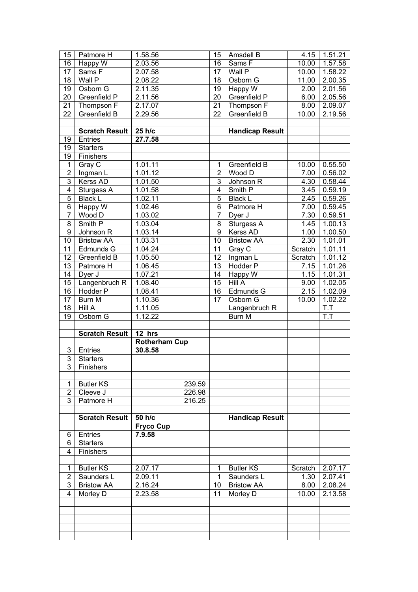| 15                  | Patmore H                       | 1.58.56              | 15              | Amsdell B                       | 4.15          | 1.51.21                         |
|---------------------|---------------------------------|----------------------|-----------------|---------------------------------|---------------|---------------------------------|
| 16                  | Happy W                         | 2.03.56              | 16              | Sams F                          | 10.00         | 1.57.58                         |
| 17                  | Sams F                          | 2.07.58              | 17              | Wall P                          | 10.00         | 1.58.22                         |
| $\overline{18}$     | Wall P                          | 2.08.22              | 18              | Osborn G                        | 11.00         | 2.00.35                         |
| 19                  | Osborn G                        | 2.11.35              | 19              | Happy $\overline{W}$            | 2.00          | 2.01.56                         |
| 20                  | Greenfield P                    | 2.11.56              | 20              | Greenfield P                    | 6.00          | 2.05.56                         |
| 21                  | Thompson F                      | 2.17.07              | $\overline{21}$ | Thompson F                      | 8.00          | 2.09.07                         |
| 22                  | Greenfield B                    | $2.\overline{29.56}$ | 22              | Greenfield B                    | 10.00         | 2.19.56                         |
|                     |                                 |                      |                 |                                 |               |                                 |
|                     | <b>Scratch Result</b>           | 25 h/c               |                 | <b>Handicap Result</b>          |               |                                 |
| 19                  | Entries                         | 27.7.58              |                 |                                 |               |                                 |
| 19                  | <b>Starters</b>                 |                      |                 |                                 |               |                                 |
| 19                  | Finishers                       |                      |                 |                                 |               |                                 |
| $\mathbf{1}$        | Gray $\overline{C}$             | 1.01.11              | 1               | Greenfield B                    | 10.00         | 0.55.50                         |
| $\overline{2}$      | Ingman L                        | 1.01.12              | $\overline{2}$  | Wood D                          | 7.00          | 0.56.02                         |
| $\overline{3}$      | Kerss AD                        | 1.01.50              | $\overline{3}$  | Johnson R                       | 4.30          | 0.58.44                         |
| $\overline{4}$      | Sturgess A                      | 1.01.58              | $\overline{4}$  | Smith P                         | 3.45          | 0.59.19                         |
| $\overline{5}$      | <b>Black L</b>                  | $1.\overline{02.11}$ | 5               | <b>Black L</b>                  | 2.45          | 0.59.26                         |
| $\overline{6}$      | Happy W                         | 1.02.46              | $\overline{6}$  | Patmore H                       | 7.00          | 0.59.45                         |
| $\overline{7}$      | Wood D                          | 1.03.02              | $\overline{7}$  | Dyer J                          | 7.30          | 0.59.51                         |
| $\overline{8}$      | Smith P                         | 1.03.04              | 8               | Sturgess A                      | 1.45          | 1.00.13                         |
| $\overline{9}$      | Johnson R                       | $1.\overline{03.14}$ | $\overline{9}$  | Kerss AD                        | 1.00          | 1.00.50                         |
| $\overline{10}$     | <b>Bristow AA</b>               | 1.03.31              | 10              | <b>Bristow AA</b>               | 2.30          | 1.01.01                         |
| 11                  | Edmunds G                       | $1.\overline{04.24}$ | 11              | Gray C                          | Scratch       | 1.01.11                         |
| $\overline{12}$     | Greenfield B                    | $1.\overline{05.50}$ | 12              | Ingman L                        | Scratch       | 1.01.12                         |
| $\overline{13}$     | Patmore H                       | 1.06.45              | 13              | Hodder P                        | 7.15          | 1.01.26                         |
| 14                  | $Dyer$ J                        | $1.\overline{07.21}$ | 14              | Happy W                         | 1.15          | 1.01.31                         |
| 15                  | Langenbruch R                   | 1.08.40              | 15              | Hill A                          | 9.00          | 1.02.05                         |
| 16                  | <b>Hodder P</b>                 | 1.08.41              | 16              | Edmunds G                       | 2.15          | 1.02.09                         |
| $\overline{17}$     | Burn M                          | 1.10.36              | $\overline{17}$ | Osborn G                        | 10.00         | $1.\overline{02.22}$            |
| 18                  | HillA                           | 1.11.05              |                 | Langenbruch R                   |               | T.T                             |
| $\overline{19}$     | Osborn G                        | 1.12.22              |                 | Burn M                          |               | $\overline{T}$ . $\overline{T}$ |
|                     |                                 |                      |                 |                                 |               |                                 |
|                     | <b>Scratch Result</b>           | $12$ hrs             |                 |                                 |               |                                 |
|                     |                                 | <b>Rotherham Cup</b> |                 |                                 |               |                                 |
| $\mathbf{3}$        |                                 |                      |                 |                                 |               |                                 |
|                     |                                 |                      |                 |                                 |               |                                 |
|                     | Entries                         | 30.8.58              |                 |                                 |               |                                 |
| $\overline{3}$      | <b>Starters</b>                 |                      |                 |                                 |               |                                 |
| $\overline{3}$      | Finishers                       |                      |                 |                                 |               |                                 |
|                     |                                 |                      |                 |                                 |               |                                 |
| $\mathbf{1}$        | <b>Butler KS</b>                | 239.59               |                 |                                 |               |                                 |
| $\overline{2}$      | Cleeve J                        | 226.98               |                 |                                 |               |                                 |
| $\overline{3}$      | Patmore H                       | 216.25               |                 |                                 |               |                                 |
|                     |                                 |                      |                 |                                 |               |                                 |
|                     | <b>Scratch Result</b>           | 50 h/c               |                 | <b>Handicap Result</b>          |               |                                 |
|                     |                                 | <b>Fryco Cup</b>     |                 |                                 |               |                                 |
| 6<br>6              | Entries<br><b>Starters</b>      | 7.9.58               |                 |                                 |               |                                 |
| 4                   |                                 |                      |                 |                                 |               |                                 |
|                     | Finishers                       |                      |                 |                                 |               |                                 |
|                     |                                 |                      | 1               |                                 |               |                                 |
| $\mathbf{1}$        | <b>Butler KS</b>                | 2.07.17              | 1               | <b>Butler KS</b>                | Scratch       | 2.07.17                         |
| $\overline{2}$<br>3 | Saunders L<br><b>Bristow AA</b> | 2.09.11<br>2.16.24   | 10              | Saunders L<br><b>Bristow AA</b> | 1.30          | 2.07.41                         |
| $\overline{4}$      |                                 | 2.23.58              | 11              | Morley D                        | 8.00<br>10.00 | 2.08.24<br>2.13.58              |
|                     | Morley D                        |                      |                 |                                 |               |                                 |
|                     |                                 |                      |                 |                                 |               |                                 |
|                     |                                 |                      |                 |                                 |               |                                 |
|                     |                                 |                      |                 |                                 |               |                                 |